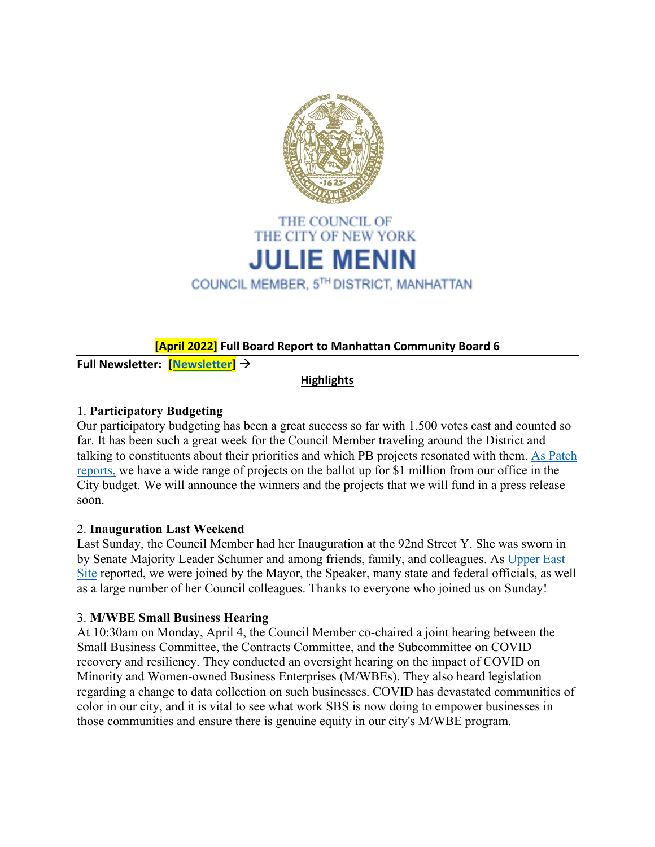

## **[April 2022] Full Board Report to Manhattan Community Board 6**

**Full Newsletter: [\[Newsletter\]](https://mailchi.mp/b063a35295c0/new-composting-site-first-hearing-today-weekly-update?e=719fcad9a7)**

### **Highlights**

# 1. **Participatory Budgeting**

Our participatory budgeting has been a great success so far with 1,500 votes cast and counted so far. It has been such a great week for the Council Member traveling around the District and talking to constituents about their priorities and which PB projects resonated with them. [As Patch](https://nyc.us14.list-manage.com/track/click?u=2c9cf03814d52dfc21a5a97cd&id=4fdabe7972&e=719fcad9a7)  [reports,](https://nyc.us14.list-manage.com/track/click?u=2c9cf03814d52dfc21a5a97cd&id=4fdabe7972&e=719fcad9a7) we have a wide range of projects on the ballot up for \$1 million from our office in the City budget. We will announce the winners and the projects that we will fund in a press release soon.

## 2. **Inauguration Last Weekend**

Last Sunday, the Council Member had her Inauguration at the 92nd Street Y. She was sworn in by Senate Majority Leader Schumer and among friends, family, and colleagues. As Upper East [Site](https://nyc.us14.list-manage.com/track/click?u=2c9cf03814d52dfc21a5a97cd&id=1dfb66965a&e=719fcad9a7) reported, we were joined by the Mayor, the Speaker, many state and federal officials, as well as a large number of her Council colleagues. Thanks to everyone who joined us on Sunday!

#### 3. **M/WBE Small Business Hearing**

At 10:30am on Monday, April 4, the Council Member co-chaired a joint hearing between the Small Business Committee, the Contracts Committee, and the Subcommittee on COVID recovery and resiliency. They conducted an oversight hearing on the impact of COVID on Minority and Women-owned Business Enterprises (M/WBEs). They also heard legislation regarding a change to data collection on such businesses. COVID has devastated communities of color in our city, and it is vital to see what work SBS is now doing to empower businesses in those communities and ensure there is genuine equity in our city's M/WBE program.